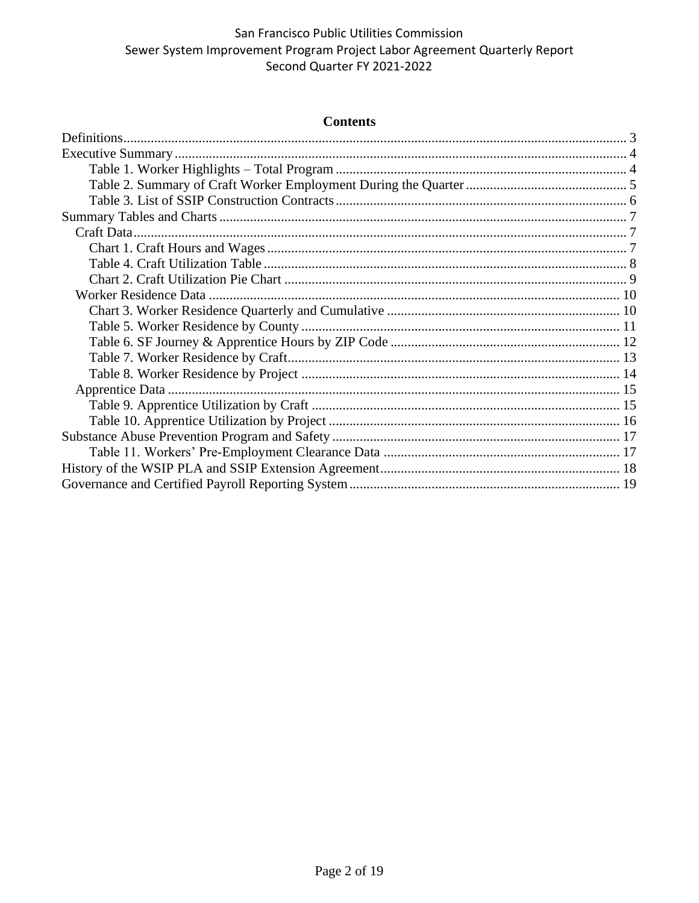| <b>Contents</b> |  |
|-----------------|--|
|                 |  |
|                 |  |
|                 |  |
|                 |  |
|                 |  |
|                 |  |
|                 |  |
|                 |  |
|                 |  |
|                 |  |
|                 |  |
|                 |  |
|                 |  |
|                 |  |
|                 |  |
|                 |  |
|                 |  |
|                 |  |
|                 |  |
|                 |  |
|                 |  |
|                 |  |
|                 |  |
|                 |  |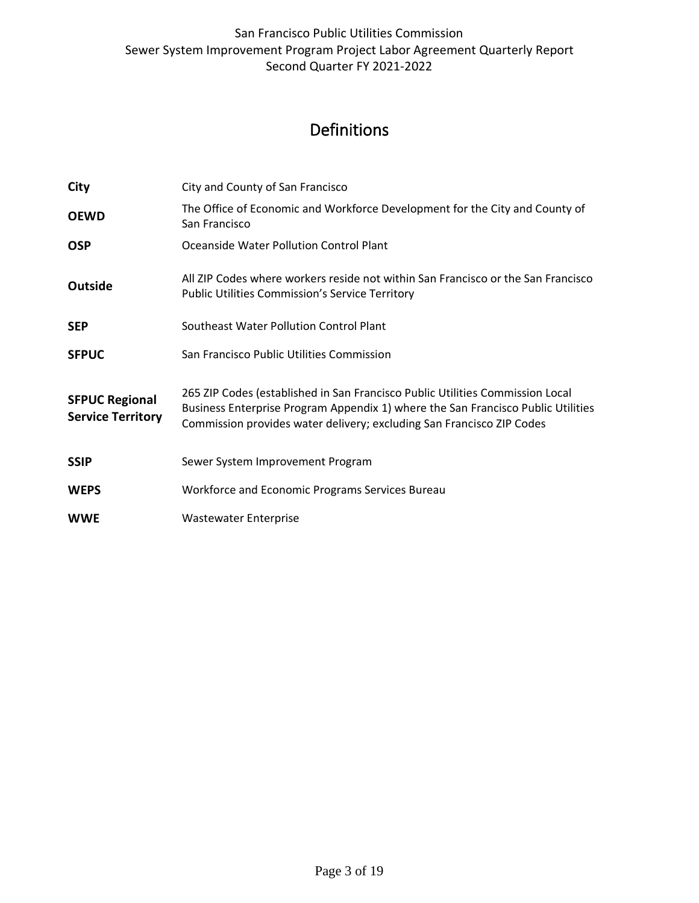# Definitions

<span id="page-2-0"></span>

| City                                              | City and County of San Francisco                                                                                                                                                                                                           |
|---------------------------------------------------|--------------------------------------------------------------------------------------------------------------------------------------------------------------------------------------------------------------------------------------------|
| <b>OEWD</b>                                       | The Office of Economic and Workforce Development for the City and County of<br>San Francisco                                                                                                                                               |
| <b>OSP</b>                                        | Oceanside Water Pollution Control Plant                                                                                                                                                                                                    |
| <b>Outside</b>                                    | All ZIP Codes where workers reside not within San Francisco or the San Francisco<br><b>Public Utilities Commission's Service Territory</b>                                                                                                 |
| <b>SEP</b>                                        | Southeast Water Pollution Control Plant                                                                                                                                                                                                    |
| <b>SFPUC</b>                                      | San Francisco Public Utilities Commission                                                                                                                                                                                                  |
| <b>SFPUC Regional</b><br><b>Service Territory</b> | 265 ZIP Codes (established in San Francisco Public Utilities Commission Local<br>Business Enterprise Program Appendix 1) where the San Francisco Public Utilities<br>Commission provides water delivery; excluding San Francisco ZIP Codes |
| <b>SSIP</b>                                       | Sewer System Improvement Program                                                                                                                                                                                                           |
| <b>WEPS</b>                                       | Workforce and Economic Programs Services Bureau                                                                                                                                                                                            |
| <b>WWE</b>                                        | <b>Wastewater Enterprise</b>                                                                                                                                                                                                               |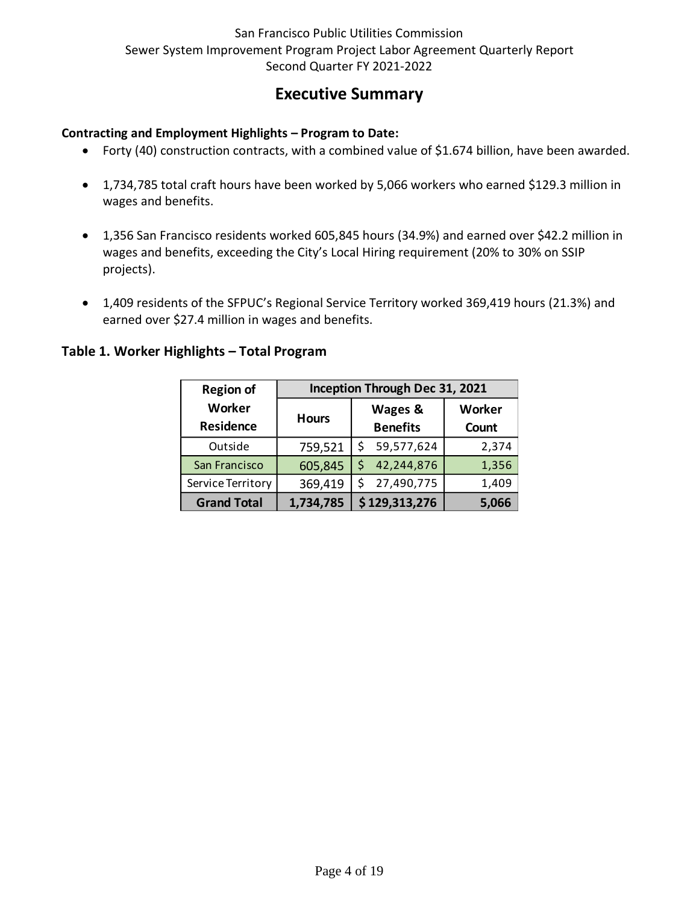## **Executive Summary**

#### <span id="page-3-0"></span>**Contracting and Employment Highlights – Program to Date:**

- Forty (40) construction contracts, with a combined value of \$1.674 billion, have been awarded.
- 1,734,785 total craft hours have been worked by 5,066 workers who earned \$129.3 million in wages and benefits.
- 1,356 San Francisco residents worked 605,845 hours (34.9%) and earned over \$42.2 million in wages and benefits, exceeding the City's Local Hiring requirement (20% to 30% on SSIP projects).
- 1,409 residents of the SFPUC's Regional Service Territory worked 369,419 hours (21.3%) and earned over \$27.4 million in wages and benefits.

#### <span id="page-3-1"></span>**Table 1. Worker Highlights – Total Program**

| <b>Region of</b>   | <b>Inception Through Dec 31, 2021</b> |                  |        |  |  |  |  |  |  |
|--------------------|---------------------------------------|------------------|--------|--|--|--|--|--|--|
| <b>Worker</b>      |                                       | Wages &          | Worker |  |  |  |  |  |  |
| Residence          | <b>Hours</b>                          | <b>Benefits</b>  | Count  |  |  |  |  |  |  |
| Outside            | 759,521                               | 59,577,624<br>\$ | 2,374  |  |  |  |  |  |  |
| San Francisco      | 605,845                               | 42,244,876       | 1,356  |  |  |  |  |  |  |
| Service Territory  | 369,419                               | 27,490,775<br>\$ | 1,409  |  |  |  |  |  |  |
| <b>Grand Total</b> | 1,734,785                             | \$129,313,276    | 5,066  |  |  |  |  |  |  |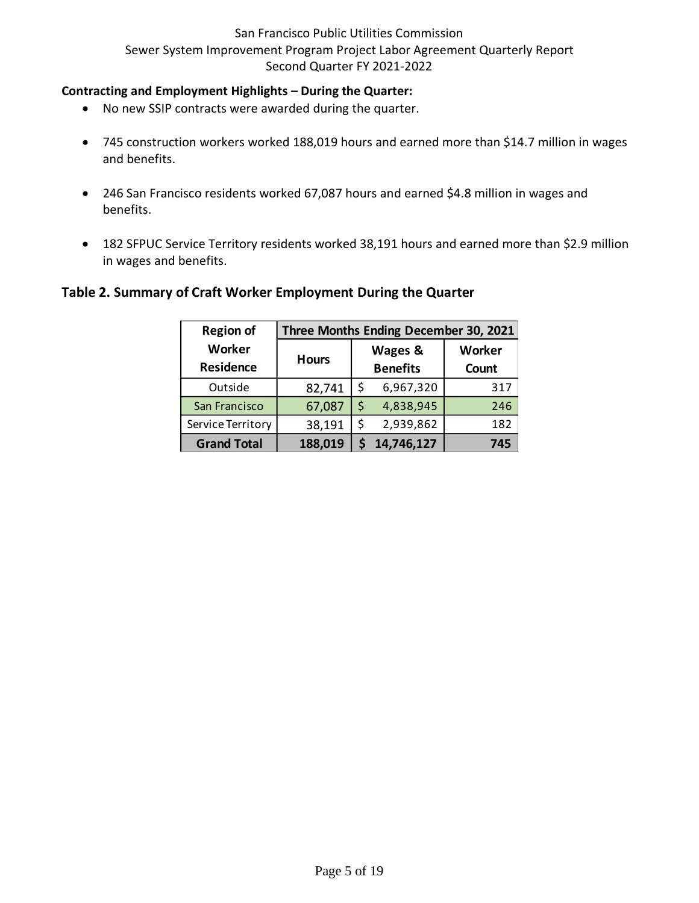#### **Contracting and Employment Highlights – During the Quarter:**

- No new SSIP contracts were awarded during the quarter.
- 745 construction workers worked 188,019 hours and earned more than \$14.7 million in wages and benefits.
- 246 San Francisco residents worked 67,087 hours and earned \$4.8 million in wages and benefits.
- 182 SFPUC Service Territory residents worked 38,191 hours and earned more than \$2.9 million in wages and benefits.

#### **Hours Wages & Benefits Worker Count** Outside | 82,741 | \$ 6,967,320 | 317 San Francisco | 67,087 | \$ 4,838,945 | 246 Service Territory | 38,191 | \$ 2,939,862 | 182 **Grand Total 188,019 \$ 14,746,127 745 Region of Worker Residence Three Months Ending December 30, 2021**

#### <span id="page-4-0"></span>**Table 2. Summary of Craft Worker Employment During the Quarter**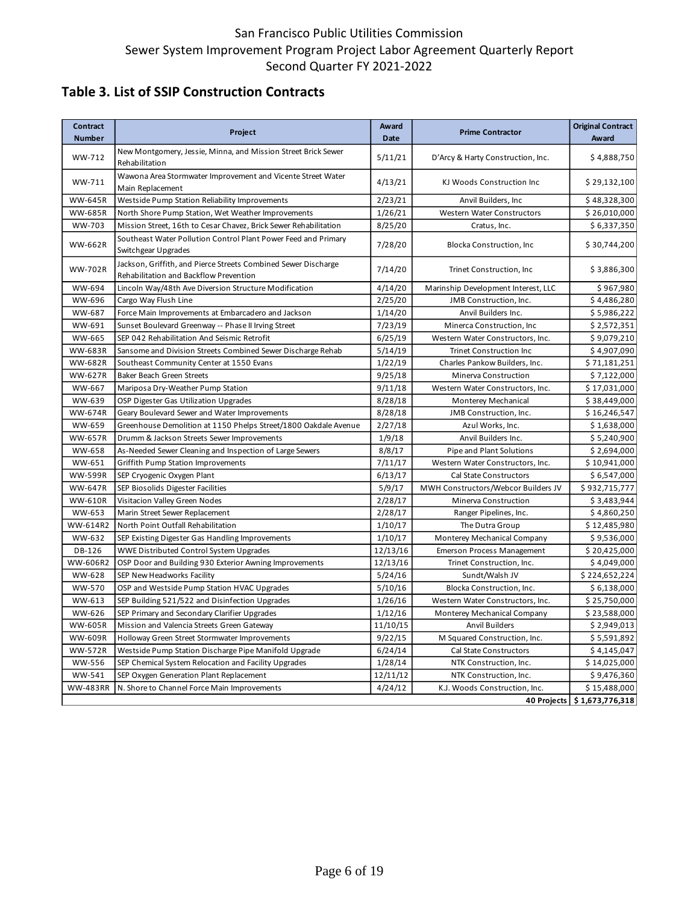### <span id="page-5-0"></span>**Table 3. List of SSIP Construction Contracts**

| Contract<br><b>Number</b> | Project                                                                                                  | Award<br><b>Date</b> | <b>Prime Contractor</b>             | <b>Original Contract</b><br>Award |
|---------------------------|----------------------------------------------------------------------------------------------------------|----------------------|-------------------------------------|-----------------------------------|
| WW-712                    | New Montgomery, Jessie, Minna, and Mission Street Brick Sewer<br>Rehabilitation                          | 5/11/21              | D'Arcy & Harty Construction, Inc.   | \$4,888,750                       |
| WW-711                    | Wawona Area Stormwater Improvement and Vicente Street Water<br>Main Replacement                          | 4/13/21              | KJ Woods Construction Inc           | \$29,132,100                      |
| <b>WW-645R</b>            | Westside Pump Station Reliability Improvements                                                           | 2/23/21              | Anvil Builders, Inc.                | \$48,328,300                      |
| <b>WW-685R</b>            | North Shore Pump Station, Wet Weather Improvements                                                       | 1/26/21              | Western Water Constructors          | \$26,010,000                      |
| WW-703                    | Mission Street, 16th to Cesar Chavez, Brick Sewer Rehabilitation                                         | 8/25/20              | Cratus, Inc.                        | \$6,337,350                       |
| <b>WW-662R</b>            | Southeast Water Pollution Control Plant Power Feed and Primary<br>Switchgear Upgrades                    | 7/28/20              | Blocka Construction, Inc.           | \$30,744,200                      |
| <b>WW-702R</b>            | Jackson, Griffith, and Pierce Streets Combined Sewer Discharge<br>Rehabilitation and Backflow Prevention | 7/14/20              | Trinet Construction, Inc.           | \$3,886,300                       |
| WW-694                    | Lincoln Way/48th Ave Diversion Structure Modification                                                    | 4/14/20              | Marinship Development Interest, LLC | \$967,980                         |
| WW-696                    | Cargo Way Flush Line                                                                                     | 2/25/20              | JMB Construction, Inc.              | \$4,486,280                       |
| WW-687                    | Force Main Improvements at Embarcadero and Jackson                                                       | 1/14/20              | Anvil Builders Inc.                 | \$5,986,222                       |
| WW-691                    | Sunset Boulevard Greenway -- Phase II Irving Street                                                      | 7/23/19              | Minerca Construction, Inc.          | \$2,572,351                       |
| WW-665                    | SEP 042 Rehabilitation And Seismic Retrofit                                                              | 6/25/19              | Western Water Constructors, Inc.    | \$9,079,210                       |
| <b>WW-683R</b>            | Sansome and Division Streets Combined Sewer Discharge Rehab                                              | 5/14/19              | Trinet Construction Inc             | \$4,907,090                       |
| <b>WW-682R</b>            | Southeast Community Center at 1550 Evans                                                                 | 1/22/19              | Charles Pankow Builders, Inc.       | \$71,181,251                      |
| <b>WW-627R</b>            | <b>Baker Beach Green Streets</b>                                                                         | 9/25/18              | Minerva Construction                | \$7,122,000                       |
| WW-667                    | Mariposa Dry-Weather Pump Station                                                                        | 9/11/18              | Western Water Constructors, Inc.    | \$17,031,000                      |
| WW-639                    | OSP Digester Gas Utilization Upgrades                                                                    | 8/28/18              | Monterey Mechanical                 | \$38,449,000                      |
| <b>WW-674R</b>            | Geary Boulevard Sewer and Water Improvements                                                             | 8/28/18              | JMB Construction, Inc.              | \$16,246,547                      |
| WW-659                    | Greenhouse Demolition at 1150 Phelps Street/1800 Oakdale Avenue                                          | 2/27/18              | Azul Works, Inc.                    | \$1,638,000                       |
| <b>WW-657R</b>            | Drumm & Jackson Streets Sewer Improvements                                                               | 1/9/18               | Anvil Builders Inc.                 | \$5,240,900                       |
| WW-658                    | As-Needed Sewer Cleaning and Inspection of Large Sewers                                                  | 8/8/17               | Pipe and Plant Solutions            | \$2,694,000                       |
| WW-651                    | Griffith Pump Station Improvements                                                                       | 7/11/17              | Western Water Constructors, Inc.    | \$10,941,000                      |
| <b>WW-599R</b>            | SEP Cryogenic Oxygen Plant                                                                               | 6/13/17              | <b>Cal State Constructors</b>       | \$6,547,000                       |
| <b>WW-647R</b>            | SEP Biosolids Digester Facilities                                                                        | 5/9/17               | MWH Constructors/Webcor Builders JV | \$932,715,777                     |
| <b>WW-610R</b>            | Visitacion Valley Green Nodes                                                                            | 2/28/17              | Minerva Construction                | \$3,483,944                       |
| WW-653                    | Marin Street Sewer Replacement                                                                           | 2/28/17              | Ranger Pipelines, Inc.              | \$4,860,250                       |
| WW-614R2                  | North Point Outfall Rehabilitation                                                                       | 1/10/17              | The Dutra Group                     | \$12,485,980                      |
| WW-632                    | SEP Existing Digester Gas Handling Improvements                                                          | 1/10/17              | Monterey Mechanical Company         | \$9,536,000                       |
| DB-126                    | WWE Distributed Control System Upgrades                                                                  | 12/13/16             | Emerson Process Management          | \$20,425,000                      |
| WW-606R2                  | OSP Door and Building 930 Exterior Awning Improvements                                                   | 12/13/16             | Trinet Construction, Inc.           | \$4,049,000                       |
| WW-628                    | SEP New Headworks Facility                                                                               | 5/24/16              | Sundt/Walsh JV                      | \$224,652,224                     |
| WW-570                    | OSP and Westside Pump Station HVAC Upgrades                                                              | 5/10/16              | Blocka Construction, Inc.           | \$6,138,000                       |
| WW-613                    | SEP Building 521/522 and Disinfection Upgrades                                                           | 1/26/16              | Western Water Constructors, Inc.    | \$25,750,000                      |
| WW-626                    | SEP Primary and Secondary Clarifier Upgrades                                                             | 1/12/16              | Monterey Mechanical Company         | \$23,588,000                      |
| <b>WW-605R</b>            | Mission and Valencia Streets Green Gateway                                                               | 11/10/15             | <b>Anvil Builders</b>               | \$2,949,013                       |
| <b>WW-609R</b>            | Holloway Green Street Stormwater Improvements                                                            | 9/22/15              | M Squared Construction, Inc.        | \$5,591,892                       |
| <b>WW-572R</b>            | Westside Pump Station Discharge Pipe Manifold Upgrade                                                    | 6/24/14              | Cal State Constructors              | \$4,145,047                       |
| WW-556                    | SEP Chemical System Relocation and Facility Upgrades                                                     | 1/28/14              | NTK Construction, Inc.              | \$14,025,000                      |
| WW-541                    | SEP Oxygen Generation Plant Replacement                                                                  | 12/11/12             | NTK Construction, Inc.              | \$9,476,360                       |
| <b>WW-483RR</b>           | N. Shore to Channel Force Main Improvements                                                              | 4/24/12              | K.J. Woods Construction, Inc.       | \$15,488,000                      |
|                           |                                                                                                          |                      |                                     | 40 Projects \$1,673,776,318       |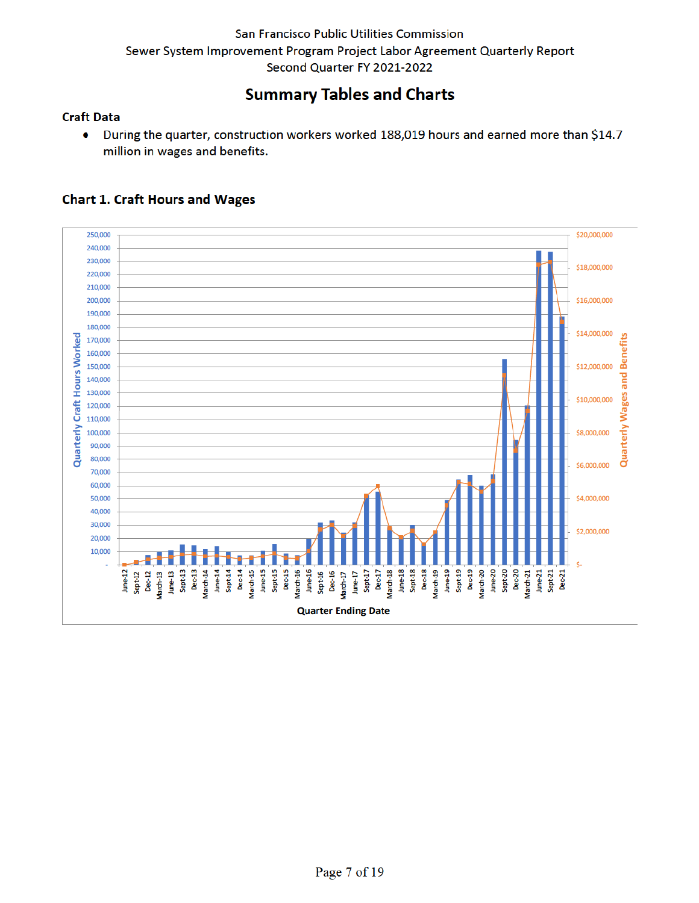## **Summary Tables and Charts**

#### **Craft Data**

During the quarter, construction workers worked 188,019 hours and earned more than \$14.7  $\bullet$ million in wages and benefits.



#### **Chart 1. Craft Hours and Wages**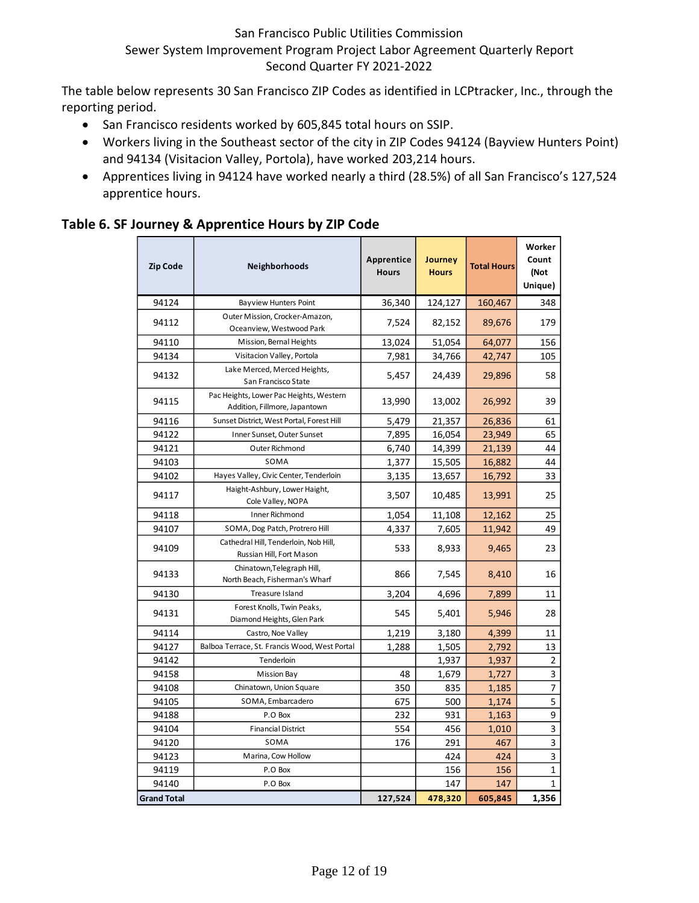#### <span id="page-11-0"></span>San Francisco Public Utilities Commission

#### Sewer System Improvement Program Project Labor Agreement Quarterly Report Second Quarter FY 2021-2022

The table below represents 30 San Francisco ZIP Codes as identified in LCPtracker, Inc., through the reporting period.

- San Francisco residents worked by 605,845 total hours on SSIP.
- Workers living in the Southeast sector of the city in ZIP Codes 94124 (Bayview Hunters Point) and 94134 (Visitacion Valley, Portola), have worked 203,214 hours.
- Apprentices living in 94124 have worked nearly a third (28.5%) of all San Francisco's 127,524 apprentice hours.

#### **Table 6. SF Journey & Apprentice Hours by ZIP Code**

| <b>Zip Code</b>    | Neighborhoods                                                            | Apprentice<br><b>Hours</b> | Journey<br><b>Hours</b> | <b>Total Hours</b> | Worker<br>Count<br>(Not<br>Unique) |
|--------------------|--------------------------------------------------------------------------|----------------------------|-------------------------|--------------------|------------------------------------|
| 94124              | <b>Bayview Hunters Point</b>                                             | 36,340                     | 124,127                 | 160,467            | 348                                |
| 94112              | Outer Mission, Crocker-Amazon,<br>Oceanview, Westwood Park               | 7,524                      | 82,152                  | 89,676             | 179                                |
| 94110              | Mission, Bernal Heights                                                  | 13,024                     | 51,054                  | 64,077             | 156                                |
| 94134              | Visitacion Valley, Portola                                               | 7,981                      | 34,766                  | 42,747             | 105                                |
| 94132              | Lake Merced, Merced Heights,<br>San Francisco State                      | 5,457                      | 24,439                  | 29,896             | 58                                 |
| 94115              | Pac Heights, Lower Pac Heights, Western<br>Addition, Fillmore, Japantown | 13,990                     | 13,002                  | 26,992             | 39                                 |
| 94116              | Sunset District, West Portal, Forest Hill                                | 5,479                      | 21,357                  | 26,836             | 61                                 |
| 94122              | Inner Sunset, Outer Sunset                                               | 7,895                      | 16,054                  | 23,949             | 65                                 |
| 94121              | Outer Richmond                                                           | 6,740                      | 14,399                  | 21,139             | 44                                 |
| 94103              | SOMA                                                                     | 1,377                      | 15,505                  | 16,882             | 44                                 |
| 94102              | Hayes Valley, Civic Center, Tenderloin                                   | 3,135                      | 13,657                  | 16,792             | 33                                 |
| 94117              | Haight-Ashbury, Lower Haight,<br>Cole Valley, NOPA                       | 3,507                      | 10,485                  | 13,991             | 25                                 |
| 94118              | Inner Richmond                                                           | 1,054                      | 11,108                  | 12,162             | 25                                 |
| 94107              | SOMA, Dog Patch, Protrero Hill                                           | 4,337                      | 7,605                   | 11,942             | 49                                 |
| 94109              | Cathedral Hill, Tenderloin, Nob Hill,<br>Russian Hill, Fort Mason        | 533                        | 8,933                   | 9,465              | 23                                 |
| 94133              | Chinatown, Telegraph Hill,<br>North Beach, Fisherman's Wharf             | 866                        | 7,545                   | 8,410              | 16                                 |
| 94130              | Treasure Island                                                          | 3,204                      | 4,696                   | 7,899              | 11                                 |
| 94131              | Forest Knolls, Twin Peaks,<br>Diamond Heights, Glen Park                 | 545                        | 5,401                   | 5,946              | 28                                 |
| 94114              | Castro, Noe Valley                                                       | 1,219                      | 3,180                   | 4,399              | 11                                 |
| 94127              | Balboa Terrace, St. Francis Wood, West Portal                            | 1,288                      | 1,505                   | 2,792              | 13                                 |
| 94142              | Tenderloin                                                               |                            | 1,937                   | 1,937              | $\overline{2}$                     |
| 94158              | <b>Mission Bay</b>                                                       | 48                         | 1,679                   | 1,727              | 3                                  |
| 94108              | Chinatown, Union Square                                                  | 350                        | 835                     | 1,185              | 7                                  |
| 94105              | SOMA, Embarcadero                                                        | 675                        | 500                     | 1,174              | 5                                  |
| 94188              | P.O Box                                                                  | 232                        | 931                     | 1,163              | 9                                  |
| 94104              | <b>Financial District</b>                                                | 554                        | 456                     | 1,010              | 3                                  |
| 94120              | SOMA                                                                     | 176                        | 291                     | 467                | 3                                  |
| 94123              | Marina, Cow Hollow                                                       |                            | 424                     | 424                | 3                                  |
| 94119              | P.O Box                                                                  |                            | 156                     | 156                | $\mathbf{1}$                       |
| 94140              | P.O Box                                                                  |                            | 147                     | 147                | $\mathbf{1}$                       |
| <b>Grand Total</b> |                                                                          | 127,524                    | 478,320                 | 605,845            | 1,356                              |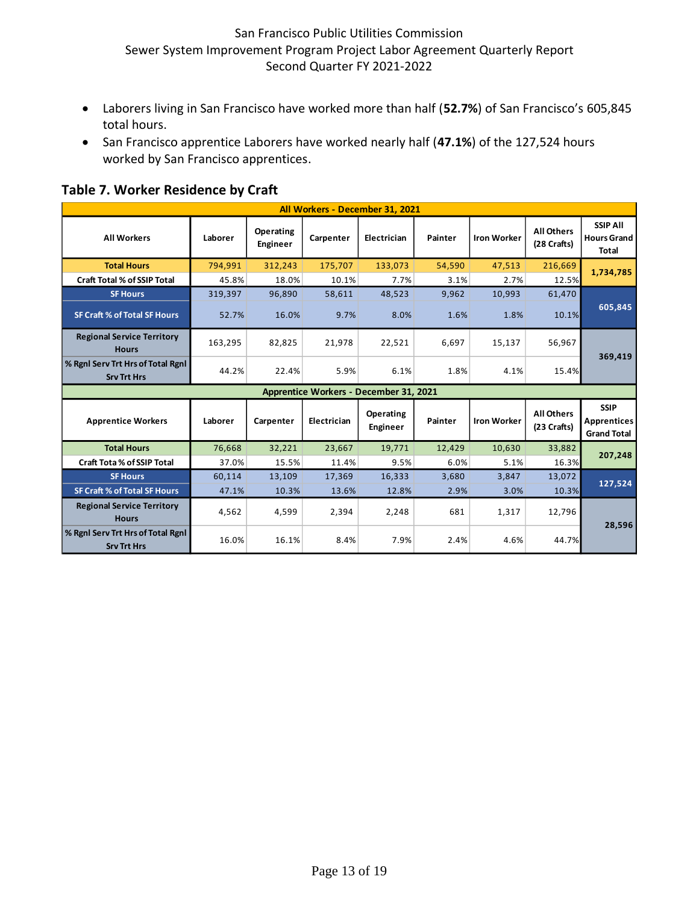- <span id="page-12-0"></span>• Laborers living in San Francisco have worked more than half (**52.7%**) of San Francisco's 605,845 total hours.
- San Francisco apprentice Laborers have worked nearly half (**47.1%**) of the 127,524 hours worked by San Francisco apprentices.

| Table 7. Worker Residence by Craft |  |  |  |                  |  |
|------------------------------------|--|--|--|------------------|--|
|                                    |  |  |  | All Workers - De |  |
|                                    |  |  |  |                  |  |

|                                                         |         |                       | All Workers - December 31, 2021        |                       |         |                    |                                  |                                                         |
|---------------------------------------------------------|---------|-----------------------|----------------------------------------|-----------------------|---------|--------------------|----------------------------------|---------------------------------------------------------|
| <b>All Workers</b>                                      | Laborer | Operating<br>Engineer | Carpenter                              | Electrician           | Painter | <b>Iron Worker</b> | <b>All Others</b><br>(28 Crafts) | <b>SSIP All</b><br><b>Hours Grand</b><br><b>Total</b>   |
| <b>Total Hours</b>                                      | 794,991 | 312,243               | 175,707                                | 133,073               | 54,590  | 47,513             | 216,669                          | 1,734,785                                               |
| <b>Craft Total % of SSIP Total</b>                      | 45.8%   | 18.0%                 | 10.1%                                  | 7.7%                  | 3.1%    | 2.7%               | 12.5%                            |                                                         |
| <b>SF Hours</b>                                         | 319,397 | 96,890                | 58,611                                 | 48,523                | 9,962   | 10,993             | 61,470                           |                                                         |
| <b>SF Craft % of Total SF Hours</b>                     | 52.7%   | 16.0%                 | 9.7%                                   | 8.0%                  | 1.6%    | 1.8%               | 10.1%                            | 605,845                                                 |
| <b>Regional Service Territory</b><br><b>Hours</b>       | 163,295 | 82,825                | 21,978                                 | 22,521                | 6,697   | 15,137             | 56,967                           | 369,419                                                 |
| % Rgnl Serv Trt Hrs of Total Rgnl<br><b>Srv Trt Hrs</b> | 44.2%   | 22.4%                 | 5.9%                                   | 6.1%                  | 1.8%    | 4.1%               | 15.4%                            |                                                         |
|                                                         |         |                       |                                        |                       |         |                    |                                  |                                                         |
|                                                         |         |                       | Apprentice Workers - December 31, 2021 |                       |         |                    |                                  |                                                         |
| <b>Apprentice Workers</b>                               | Laborer | Carpenter             | Electrician                            | Operating<br>Engineer | Painter | <b>Iron Worker</b> | <b>All Others</b><br>(23 Crafts) | <b>SSIP</b><br><b>Apprentices</b><br><b>Grand Total</b> |
| <b>Total Hours</b>                                      | 76,668  | 32,221                | 23,667                                 | 19,771                | 12,429  | 10,630             | 33,882                           |                                                         |
| <b>Craft Tota % of SSIP Total</b>                       | 37.0%   | 15.5%                 | 11.4%                                  | 9.5%                  | 6.0%    | 5.1%               | 16.3%                            | 207,248                                                 |
| <b>SF Hours</b>                                         | 60,114  | 13,109                | 17,369                                 | 16,333                | 3,680   | 3,847              | 13,072                           |                                                         |
| <b>SF Craft % of Total SF Hours</b>                     | 47.1%   | 10.3%                 | 13.6%                                  | 12.8%                 | 2.9%    | 3.0%               | 10.3%                            | 127,524                                                 |
| <b>Regional Service Territory</b><br><b>Hours</b>       | 4,562   | 4,599                 | 2,394                                  | 2,248                 | 681     | 1,317              | 12,796                           | 28,596                                                  |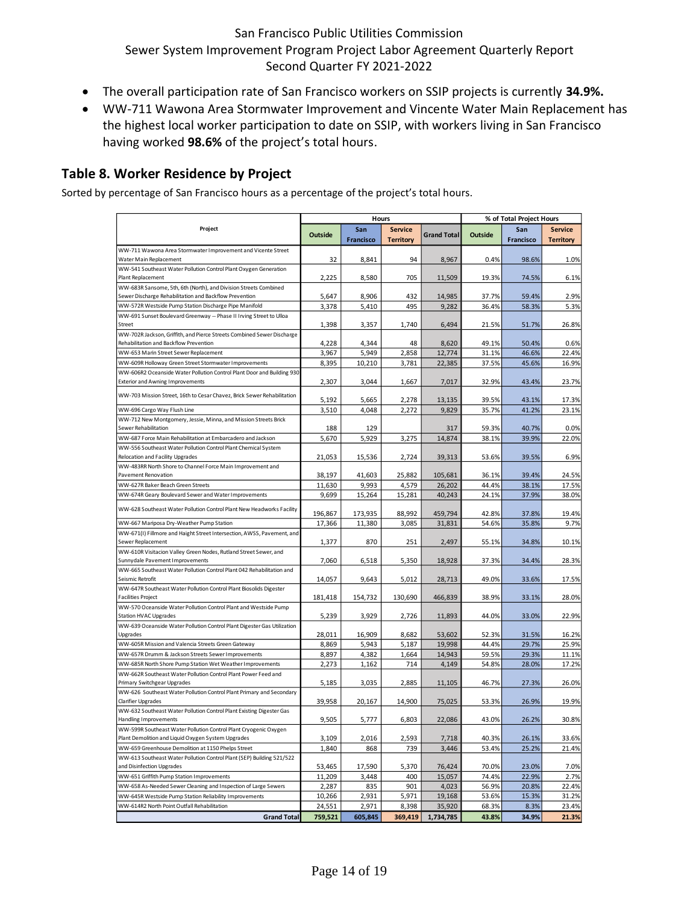- The overall participation rate of San Francisco workers on SSIP projects is currently **34.9%.**
- WW-711 Wawona Area Stormwater Improvement and Vincente Water Main Replacement has the highest local worker participation to date on SSIP, with workers living in San Francisco having worked **98.6%** of the project's total hours.

#### <span id="page-13-0"></span>**Table 8. Worker Residence by Project**

Sorted by percentage of San Francisco hours as a percentage of the project's total hours.

|                                                                                                                             | Hours             |                         | % of Total Project Hours           |                     |                |                         |                                    |
|-----------------------------------------------------------------------------------------------------------------------------|-------------------|-------------------------|------------------------------------|---------------------|----------------|-------------------------|------------------------------------|
| Project                                                                                                                     | Outside           | San<br><b>Francisco</b> | <b>Service</b><br><b>Territory</b> | <b>Grand Total</b>  | Outside        | San<br><b>Francisco</b> | <b>Service</b><br><b>Territory</b> |
| WW-711 Wawona Area Stormwater Improvement and Vicente Street<br>Water Main Replacement                                      | 32                | 8,841                   | 94                                 | 8,967               | 0.4%           | 98.6%                   | 1.0%                               |
| WW-541 Southeast Water Pollution Control Plant Oxygen Generation<br>Plant Replacement                                       | 2,225             | 8,580                   | 705                                | 11,509              | 19.3%          | 74.5%                   | 6.1%                               |
| WW-683R Sansome, 5th, 6th (North), and Division Streets Combined<br>Sewer Discharge Rehabilitation and Backflow Prevention  | 5,647             | 8,906                   | 432                                | 14,985              | 37.7%          | 59.4%                   | 2.9%                               |
| WW-572R Westside Pump Station Discharge Pipe Manifold                                                                       | 3,378             | 5,410                   | 495                                | 9,282               | 36.4%          | 58.3%                   | 5.3%                               |
| WW-691 Sunset Boulevard Greenway -- Phase II Irving Street to Ulloa<br>Street                                               | 1,398             | 3,357                   | 1,740                              | 6,494               | 21.5%          | 51.7%                   | 26.8%                              |
| WW-702R Jackson, Griffith, and Pierce Streets Combined Sewer Discharge                                                      |                   |                         |                                    |                     |                |                         |                                    |
| Rehabilitation and Backflow Prevention                                                                                      | 4,228             | 4,344                   | 48                                 | 8,620               | 49.1%          | 50.4%                   | 0.6%                               |
| WW-653 Marin Street Sewer Replacement                                                                                       | 3,967             | 5,949                   | 2,858                              | 12,774              | 31.1%          | 46.6%                   | 22.4%                              |
| WW-609R Holloway Green Street Stormwater Improvements                                                                       | 8,395             | 10,210                  | 3,781                              | 22,385              | 37.5%          | 45.6%                   | 16.9%                              |
| WW-606R2 Oceanside Water Pollution Control Plant Door and Building 930<br><b>Exterior and Awning Improvements</b>           | 2,307             | 3,044                   | 1,667                              | 7,017               | 32.9%          | 43.4%                   | 23.7%                              |
| WW-703 Mission Street, 16th to Cesar Chavez, Brick Sewer Rehabilitation                                                     | 5,192             | 5,665                   | 2,278                              | 13,135              | 39.5%          | 43.1%                   | 17.3%                              |
| WW-696 Cargo Way Flush Line<br>WW-712 New Montgomery, Jessie, Minna, and Mission Streets Brick                              | 3,510             | 4,048                   | 2,272                              | 9,829               | 35.7%          | 41.2%                   | 23.1%                              |
| Sewer Rehabilitation<br>WW-687 Force Main Rehabilitation at Embarcadero and Jackson                                         | 188<br>5,670      | 129<br>5,929            | 3,275                              | 317<br>14,874       | 59.3%<br>38.1% | 40.7%<br>39.9%          | 0.0%                               |
| WW-556 Southeast Water Pollution Control Plant Chemical System                                                              |                   |                         |                                    |                     |                |                         | 22.0%                              |
| Relocation and Facility Upgrades<br>WW-483RR North Shore to Channel Force Main Improvement and                              | 21.053            | 15,536                  | 2,724                              | 39,313              | 53.6%          | 39.5%                   | 6.9%                               |
| Pavement Renovation                                                                                                         | 38,197            | 41,603                  | 25,882                             | 105,681             | 36.1%          | 39.4%                   | 24.5%                              |
| WW-627R Baker Beach Green Streets                                                                                           | 11,630            | 9,993                   | 4,579                              | 26,202              | 44.4%          | 38.1%                   | 17.5%                              |
| WW-674R Geary Boulevard Sewer and Water Improvements                                                                        | 9,699             | 15,264                  | 15,281                             | 40,243              | 24.1%          | 37.9%                   | 38.0%                              |
| WW-628 Southeast Water Pollution Control Plant New Headworks Facility                                                       | 196,867           | 173,935                 | 88,992                             | 459,794             | 42.8%          | 37.8%                   | 19.4%                              |
| WW-667 Mariposa Dry-Weather Pump Station                                                                                    | 17,366            | 11,380                  | 3,085                              | 31,831              | 54.6%          | 35.8%                   | 9.7%                               |
| WW-671(I) Fillmore and Haight Street Intersection, AWSS, Pavement, and<br>Sewer Replacement                                 | 1,377             | 870                     | 251                                | 2,497               | 55.1%          | 34.8%                   | 10.1%                              |
| WW-610R Visitacion Valley Green Nodes, Rutland Street Sewer, and                                                            |                   |                         |                                    |                     |                |                         |                                    |
| Sunnydale Pavement Improvements                                                                                             | 7,060             | 6,518                   | 5,350                              | 18,928              | 37.3%          | 34.4%                   | 28.3%                              |
| WW-665 Southeast Water Pollution Control Plant 042 Rehabilitation and<br>Seismic Retrofit                                   | 14,057            | 9,643                   | 5,012                              | 28,713              | 49.0%          | 33.6%                   | 17.5%                              |
| WW-647R Southeast Water Pollution Control Plant Biosolids Digester<br><b>Facilities Project</b>                             | 181,418           | 154,732                 | 130,690                            | 466,839             | 38.9%          | 33.1%                   | 28.0%                              |
| WW-570 Oceanside Water Pollution Control Plant and Westside Pump<br><b>Station HVAC Upgrades</b>                            | 5,239             | 3,929                   | 2,726                              | 11,893              | 44.0%          | 33.0%                   | 22.9%                              |
| WW-639 Oceanside Water Pollution Control Plant Digester Gas Utilization<br>Upgrades                                         | 28,011            | 16,909                  | 8,682                              | 53,602              | 52.3%          | 31.5%                   | 16.2%                              |
| WW-605R Mission and Valencia Streets Green Gateway                                                                          | 8,869             | 5,943                   | 5,187                              | 19,998              | 44.4%          | 29.7%                   | 25.9%                              |
| WW-657R Drumm & Jackson Streets Sewer Improvements                                                                          | 8,897             | 4,382                   | 1,664                              | 14,943              | 59.5%          | 29.3%                   | 11.1%                              |
| WW-685R North Shore Pump Station Wet Weather Improvements<br>WW-662R Southeast Water Pollution Control Plant Power Feed and | 2,273             | 1,162                   | 714                                | 4,149               | 54.8%          | 28.0%                   | 17.2%                              |
| Primary Switchgear Upgrades<br>WW-626 Southeast Water Pollution Control Plant Primary and Secondary                         | 5,185             | 3,035                   | 2,885                              | 11,105              | 46.7%          | 27.3%                   | 26.0%                              |
| <b>Clarifier Upgrades</b>                                                                                                   | 39.958            | 20,167                  | 14,900                             | 75,025              | 53.3%          | 26.9%                   | 19.9%                              |
| WW-632 Southeast Water Pollution Control Plant Existing Digester Gas<br>Handling Improvements                               | 9,505             | 5,777                   | 6,803                              | 22,086              | 43.0%          | 26.2%                   | 30.8%                              |
| WW-599R Southeast Water Pollution Control Plant Cryogenic Oxygen<br>Plant Demolition and Liquid Oxygen System Upgrades      | 3,109             | 2,016                   | 2,593                              | 7,718               | 40.3%          | 26.1%                   | 33.6%                              |
| WW-659 Greenhouse Demolition at 1150 Phelps Street                                                                          | 1,840             | 868                     | 739                                | 3,446               | 53.4%          | 25.2%                   | 21.4%                              |
| WW-613 Southeast Water Pollution Control Plant (SEP) Building 521/522                                                       |                   |                         |                                    |                     |                |                         |                                    |
| and Disinfection Upgrades                                                                                                   | 53,465            | 17,590                  | 5,370                              | 76,424              | 70.0%          | 23.0%                   | 7.0%                               |
| WW-651 Griffith Pump Station Improvements                                                                                   | 11,209            | 3,448                   | 400                                | 15,057              | 74.4%          | 22.9%                   | 2.7%                               |
| WW-658 As-Needed Sewer Cleaning and Inspection of Large Sewers                                                              | 2,287             | 835                     | 901                                | 4,023               | 56.9%          | 20.8%                   | 22.4%                              |
| WW-645R Westside Pump Station Reliability Improvements<br>WW-614R2 North Point Outfall Rehabilitation                       | 10,266            | 2,931                   | 5,971                              | 19,168              | 53.6%          | 15.3%                   | 31.2%                              |
| <b>Grand Total</b>                                                                                                          | 24,551<br>759,521 | 2,971<br>605,845        | 8,398<br>369,419                   | 35,920<br>1,734,785 | 68.3%<br>43.8% | 8.3%<br>34.9%           | 23.4%<br>21.3%                     |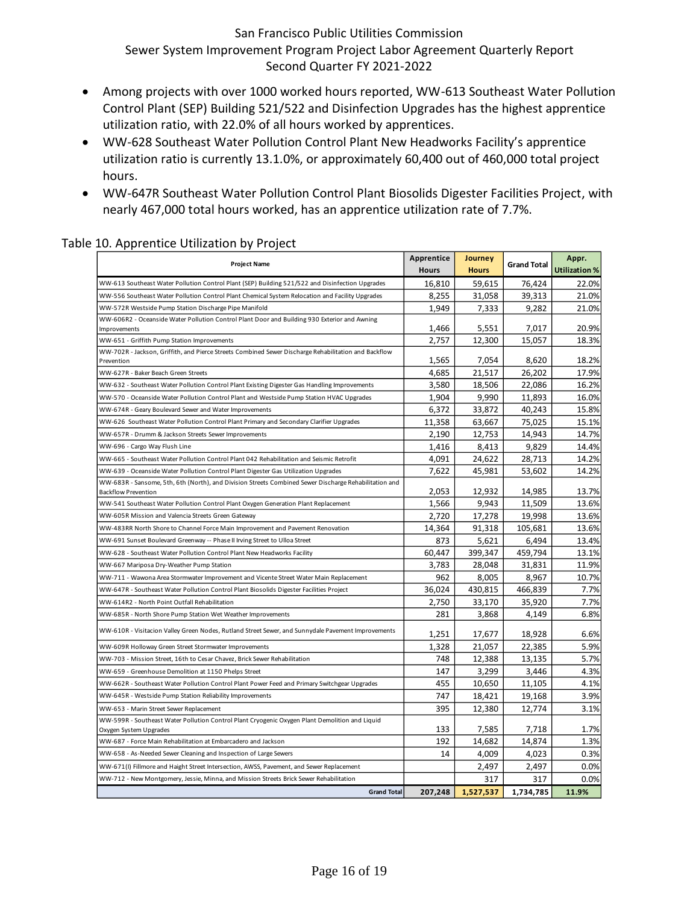- <span id="page-15-0"></span>• Among projects with over 1000 worked hours reported, WW-613 Southeast Water Pollution Control Plant (SEP) Building 521/522 and Disinfection Upgrades has the highest apprentice utilization ratio, with 22.0% of all hours worked by apprentices.
- WW-628 Southeast Water Pollution Control Plant New Headworks Facility's apprentice utilization ratio is currently 13.1.0%, or approximately 60,400 out of 460,000 total project hours.
- WW-647R Southeast Water Pollution Control Plant Biosolids Digester Facilities Project, with nearly 467,000 total hours worked, has an apprentice utilization rate of 7.7%.

| <b>Project Name</b>                                                                                                                 | Apprentice<br><b>Hours</b> | Journey<br><b>Hours</b> | <b>Grand Total</b> | Appr.<br><b>Utilization %</b> |
|-------------------------------------------------------------------------------------------------------------------------------------|----------------------------|-------------------------|--------------------|-------------------------------|
| WW-613 Southeast Water Pollution Control Plant (SEP) Building 521/522 and Disinfection Upgrades                                     | 16,810                     | 59,615                  | 76,424             | 22.0%                         |
| WW-556 Southeast Water Pollution Control Plant Chemical System Relocation and Facility Upgrades                                     | 8,255                      | 31,058                  | 39,313             | 21.0%                         |
| WW-572R Westside Pump Station Discharge Pipe Manifold                                                                               | 1.949                      | 7,333                   | 9.282              | 21.0%                         |
| WW-606R2 - Oceanside Water Pollution Control Plant Door and Building 930 Exterior and Awning                                        |                            |                         |                    |                               |
| Improvements                                                                                                                        | 1,466                      | 5,551                   | 7,017              | 20.9%                         |
| WW-651 - Griffith Pump Station Improvements                                                                                         | 2.757                      | 12.300                  | 15,057             | 18.3%                         |
| WW-702R - Jackson, Griffith, and Pierce Streets Combined Sewer Discharge Rehabilitation and Backflow<br>Prevention                  | 1,565                      | 7,054                   | 8,620              | 18.2%                         |
| WW-627R - Baker Beach Green Streets                                                                                                 | 4,685                      | 21,517                  | 26,202             | 17.9%                         |
| WW-632 - Southeast Water Pollution Control Plant Existing Digester Gas Handling Improvements                                        | 3,580                      | 18,506                  | 22,086             | 16.2%                         |
| WW-570 - Oceanside Water Pollution Control Plant and Westside Pump Station HVAC Upgrades                                            | 1,904                      | 9,990                   | 11,893             | 16.0%                         |
| WW-674R - Geary Boulevard Sewer and Water Improvements                                                                              | 6,372                      | 33,872                  | 40.243             | 15.8%                         |
| WW-626 Southeast Water Pollution Control Plant Primary and Secondary Clarifier Upgrades                                             | 11,358                     | 63,667                  | 75,025             | 15.1%                         |
| WW-657R - Drumm & Jackson Streets Sewer Improvements                                                                                | 2,190                      | 12,753                  | 14,943             | 14.7%                         |
| WW-696 - Cargo Way Flush Line                                                                                                       | 1,416                      | 8,413                   | 9,829              | 14.4%                         |
| WW-665 - Southeast Water Pollution Control Plant 042 Rehabilitation and Seismic Retrofit                                            | 4,091                      | 24,622                  | 28,713             | 14.2%                         |
| WW-639 - Oceanside Water Pollution Control Plant Digester Gas Utilization Upgrades                                                  | 7,622                      | 45,981                  | 53,602             | 14.2%                         |
| WW-683R - Sansome, 5th, 6th (North), and Division Streets Combined Sewer Discharge Rehabilitation and<br><b>Backflow Prevention</b> | 2,053                      | 12,932                  | 14,985             | 13.7%                         |
| WW-541 Southeast Water Pollution Control Plant Oxygen Generation Plant Replacement                                                  | 1,566                      | 9,943                   | 11,509             | 13.6%                         |
| WW-605R Mission and Valencia Streets Green Gateway                                                                                  | 2,720                      | 17,278                  | 19,998             | 13.6%                         |
| WW-483RR North Shore to Channel Force Main Improvement and Pavement Renovation                                                      | 14,364                     | 91,318                  | 105,681            | 13.6%                         |
| WW-691 Sunset Boulevard Greenway -- Phase II Irving Street to Ulloa Street                                                          | 873                        | 5,621                   | 6.494              | 13.4%                         |
| WW-628 - Southeast Water Pollution Control Plant New Headworks Facility                                                             | 60,447                     | 399,347                 | 459,794            | 13.1%                         |
| WW-667 Mariposa Dry-Weather Pump Station                                                                                            | 3,783                      | 28,048                  | 31,831             | 11.9%                         |
| WW-711 - Wawona Area Stormwater Improvement and Vicente Street Water Main Replacement                                               | 962                        | 8,005                   | 8,967              | 10.7%                         |
| WW-647R - Southeast Water Pollution Control Plant Biosolids Digester Facilities Project                                             | 36,024                     | 430,815                 | 466,839            | 7.7%                          |
| WW-614R2 - North Point Outfall Rehabilitation                                                                                       | 2,750                      | 33,170                  | 35,920             | 7.7%                          |
| WW-685R - North Shore Pump Station Wet Weather Improvements                                                                         | 281                        | 3,868                   | 4.149              | 6.8%                          |
| WW-610R - Visitacion Valley Green Nodes, Rutland Street Sewer, and Sunnydale Pavement Improvements                                  | 1,251                      | 17,677                  | 18,928             | 6.6%                          |
| WW-609R Holloway Green Street Stormwater Improvements                                                                               | 1,328                      | 21,057                  | 22,385             | 5.9%                          |
| WW-703 - Mission Street, 16th to Cesar Chavez, Brick Sewer Rehabilitation                                                           | 748                        | 12,388                  | 13,135             | 5.7%                          |
| WW-659 - Greenhouse Demolition at 1150 Phelps Street                                                                                | 147                        | 3,299                   | 3,446              | 4.3%                          |
| WW-662R - Southeast Water Pollution Control Plant Power Feed and Primary Switchgear Upgrades                                        | 455                        | 10,650                  | 11,105             | 4.1%                          |
| WW-645R - Westside Pump Station Reliability Improvements                                                                            | 747                        | 18,421                  | 19,168             | 3.9%                          |
| WW-653 - Marin Street Sewer Replacement                                                                                             | 395                        | 12,380                  | 12,774             | 3.1%                          |
| WW-599R - Southeast Water Pollution Control Plant Cryogenic Oxygen Plant Demolition and Liquid<br>Oxygen System Upgrades            | 133                        | 7,585                   | 7,718              | 1.7%                          |
| WW-687 - Force Main Rehabilitation at Embarcadero and Jackson                                                                       | 192                        | 14,682                  | 14,874             | 1.3%                          |
| WW-658 - As-Needed Sewer Cleaning and Inspection of Large Sewers                                                                    | 14                         | 4,009                   | 4.023              | 0.3%                          |
| WW-671(I) Fillmore and Haight Street Intersection, AWSS, Pavement, and Sewer Replacement                                            |                            | 2,497                   | 2,497              | 0.0%                          |
| WW-712 - New Montgomery, Jessie, Minna, and Mission Streets Brick Sewer Rehabilitation                                              |                            | 317                     | 317                | 0.0%                          |
| <b>Grand Total</b>                                                                                                                  | 207.248                    | 1.527.537               | 1.734.785          | 11.9%                         |

#### Table 10. Apprentice Utilization by Project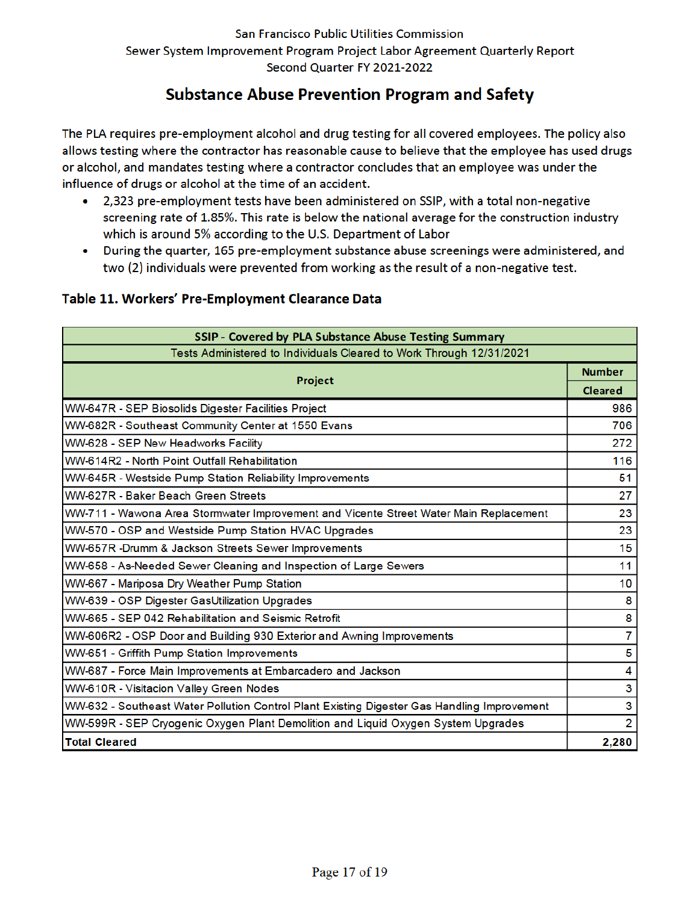## **Substance Abuse Prevention Program and Safety**

The PLA requires pre-employment alcohol and drug testing for all covered employees. The policy also allows testing where the contractor has reasonable cause to believe that the employee has used drugs or alcohol, and mandates testing where a contractor concludes that an employee was under the influence of drugs or alcohol at the time of an accident.

- 2,323 pre-employment tests have been administered on SSIP, with a total non-negative screening rate of 1.85%. This rate is below the national average for the construction industry which is around 5% according to the U.S. Department of Labor
- During the quarter, 165 pre-employment substance abuse screenings were administered, and two (2) individuals were prevented from working as the result of a non-negative test.

#### Table 11. Workers' Pre-Employment Clearance Data

| SSIP - Covered by PLA Substance Abuse Testing Summary                                       |                |  |  |  |
|---------------------------------------------------------------------------------------------|----------------|--|--|--|
| Tests Administered to Individuals Cleared to Work Through 12/31/2021                        |                |  |  |  |
|                                                                                             | <b>Number</b>  |  |  |  |
| Project                                                                                     |                |  |  |  |
| WW-647R - SEP Biosolids Digester Facilities Project                                         | 986            |  |  |  |
| WW-682R - Southeast Community Center at 1550 Evans                                          | 706            |  |  |  |
| WW-628 - SEP New Headworks Facility                                                         | 272            |  |  |  |
| WW-614R2 - North Point Outfall Rehabilitation                                               | 116            |  |  |  |
| WW-645R - Westside Pump Station Reliability Improvements                                    | 51             |  |  |  |
| WW-627R - Baker Beach Green Streets                                                         | 27             |  |  |  |
| WW-711 - Wawona Area Stormwater Improvement and Vicente Street Water Main Replacement       | 23             |  |  |  |
| WW-570 - OSP and Westside Pump Station HVAC Upgrades                                        | 23             |  |  |  |
| WW-657R -Drumm & Jackson Streets Sewer Improvements                                         | 15             |  |  |  |
| WW-658 - As-Needed Sewer Cleaning and Inspection of Large Sewers                            | 11             |  |  |  |
| WW-667 - Mariposa Dry Weather Pump Station                                                  | 10             |  |  |  |
| WW-639 - OSP Digester GasUtilization Upgrades                                               | 8              |  |  |  |
| WW-665 - SEP 042 Rehabilitation and Seismic Retrofit                                        | 8              |  |  |  |
| WW-606R2 - OSP Door and Building 930 Exterior and Awning Improvements                       | 7              |  |  |  |
| WW-651 - Griffith Pump Station Improvements                                                 | 5              |  |  |  |
| WW-687 - Force Main Improvements at Embarcadero and Jackson                                 | 4              |  |  |  |
| WW-610R - Visitacion Valley Green Nodes                                                     | 3              |  |  |  |
| WW-632 - Southeast Water Pollution Control Plant Existing Digester Gas Handling Improvement | 3              |  |  |  |
| WW-599R - SEP Cryogenic Oxygen Plant Demolition and Liquid Oxygen System Upgrades           | $\overline{2}$ |  |  |  |
| <b>Total Cleared</b>                                                                        | 2,280          |  |  |  |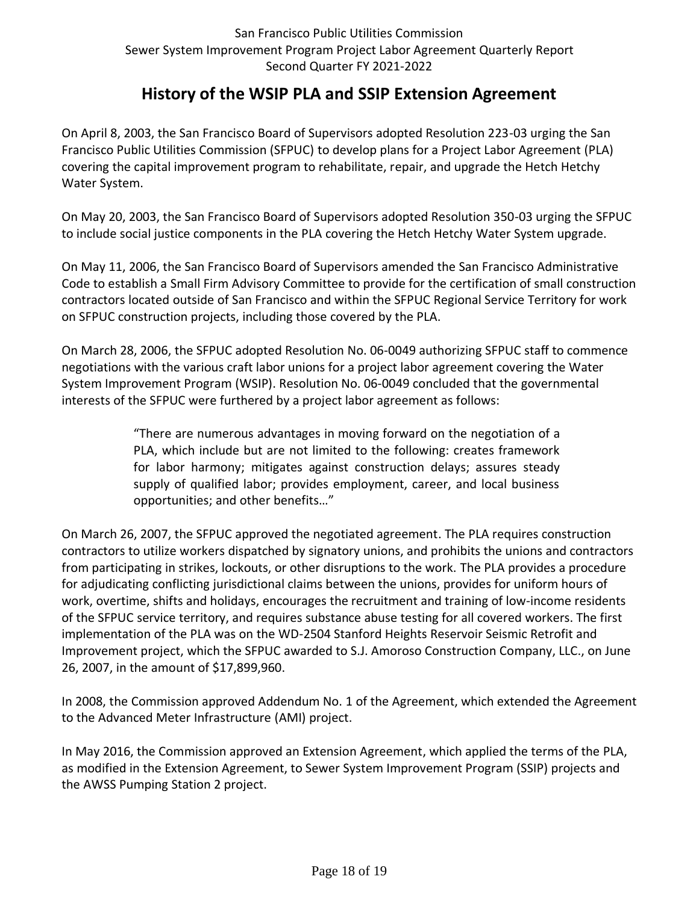### **History of the WSIP PLA and SSIP Extension Agreement**

<span id="page-17-0"></span>On April 8, 2003, the San Francisco Board of Supervisors adopted Resolution 223-03 urging the San Francisco Public Utilities Commission (SFPUC) to develop plans for a Project Labor Agreement (PLA) covering the capital improvement program to rehabilitate, repair, and upgrade the Hetch Hetchy Water System.

On May 20, 2003, the San Francisco Board of Supervisors adopted Resolution 350-03 urging the SFPUC to include social justice components in the PLA covering the Hetch Hetchy Water System upgrade.

On May 11, 2006, the San Francisco Board of Supervisors amended the San Francisco Administrative Code to establish a Small Firm Advisory Committee to provide for the certification of small construction contractors located outside of San Francisco and within the SFPUC Regional Service Territory for work on SFPUC construction projects, including those covered by the PLA.

On March 28, 2006, the SFPUC adopted Resolution No. 06-0049 authorizing SFPUC staff to commence negotiations with the various craft labor unions for a project labor agreement covering the Water System Improvement Program (WSIP). Resolution No. 06-0049 concluded that the governmental interests of the SFPUC were furthered by a project labor agreement as follows:

> "There are numerous advantages in moving forward on the negotiation of a PLA, which include but are not limited to the following: creates framework for labor harmony; mitigates against construction delays; assures steady supply of qualified labor; provides employment, career, and local business opportunities; and other benefits…"

On March 26, 2007, the SFPUC approved the negotiated agreement. The PLA requires construction contractors to utilize workers dispatched by signatory unions, and prohibits the unions and contractors from participating in strikes, lockouts, or other disruptions to the work. The PLA provides a procedure for adjudicating conflicting jurisdictional claims between the unions, provides for uniform hours of work, overtime, shifts and holidays, encourages the recruitment and training of low-income residents of the SFPUC service territory, and requires substance abuse testing for all covered workers. The first implementation of the PLA was on the WD-2504 Stanford Heights Reservoir Seismic Retrofit and Improvement project, which the SFPUC awarded to S.J. Amoroso Construction Company, LLC., on June 26, 2007, in the amount of \$17,899,960.

In 2008, the Commission approved Addendum No. 1 of the Agreement, which extended the Agreement to the Advanced Meter Infrastructure (AMI) project.

In May 2016, the Commission approved an Extension Agreement, which applied the terms of the PLA, as modified in the Extension Agreement, to Sewer System Improvement Program (SSIP) projects and the AWSS Pumping Station 2 project.